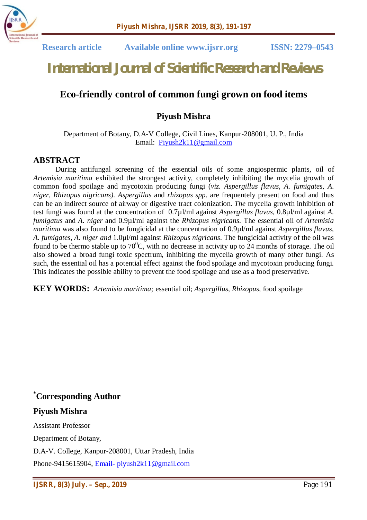

 **Research article Available online www.ijsrr.org ISSN: 2279–0543**

# *International Journal of Scientific Research and Reviews*

# **Eco-friendly control of common fungi grown on food items**

### **Piyush Mishra**

#### Department of Botany, D.A-V College, Civil Lines, Kanpur-208001, U. P., India Email: Piyush2k11@gmail.com

#### **ABSTRACT**

During antifungal screening of the essential oils of some angiospermic plants, oil of *Artemisia maritima* exhibited the strongest activity, completely inhibiting the mycelia growth of common food spoilage and mycotoxin producing fungi (*viz. Aspergillus flavus, A. fumigates, A. niger, Rhizopus nigricans). Aspergillus* and *rhizopus spp*. are frequentely present on food and thus can be an indirect source of airway or digestive tract colonization. *The* mycelia growth inhibition of test fungi was found at the concentration of 0.7µl/ml against *Aspergillus flavus*, 0.8µl/ml against *A. fumigatus* and *A. niger* and 0.9µl/ml against the *Rhizopus nigricans*. The essential oil of *Artemisia maritima* was also found to be fungicidal at the concentration of 0.9µl/ml against *Aspergillus flavus, A. fumigates, A. niger and* 1.0µl/ml against *Rhizopus nigricans*. The fungicidal activity of the oil was found to be thermo stable up to  $70^{\circ}$ C, with no decrease in activity up to 24 months of storage. The oil also showed a broad fungi toxic spectrum, inhibiting the mycelia growth of many other fungi. As such, the essential oil has a potential effect against the food spoilage and mycotoxin producing fungi. This indicates the possible ability to prevent the food spoilage and use as a food preservative.

**KEY WORDS:** *Artemisia maritima;* essential oil; *Aspergillus*, *Rhizopus,* food spoilage

**\*Corresponding Author**

#### **Piyush Mishra**

Assistant Professor

Department of Botany,

D.A-V. College, Kanpur-208001, Uttar Pradesh, India

Phone-9415615904, Email- piyush2k11@gmail.com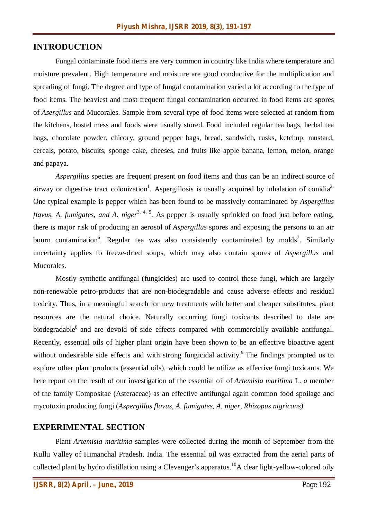#### **INTRODUCTION**

Fungal contaminate food items are very common in country like India where temperature and moisture prevalent. High temperature and moisture are good conductive for the multiplication and spreading of fungi. The degree and type of fungal contamination varied a lot according to the type of food items. The heaviest and most frequent fungal contamination occurred in food items are spores of *Asergillus* and Mucorales. Sample from several type of food items were selected at random from the kitchens, hostel mess and foods were usually stored. Food included regular tea bags, herbal tea bags, chocolate powder, chicory, ground pepper bags, bread, sandwich, rusks, ketchup, mustard, cereals, potato, biscuits, sponge cake, cheeses, and fruits like apple banana, lemon, melon, orange and papaya.

*Aspergillus* species are frequent present on food items and thus can be an indirect source of airway or digestive tract colonization<sup>1</sup>. Aspergillosis is usually acquired by inhalation of conidia<sup>2.</sup> One typical example is pepper which has been found to be massively contaminated by *Aspergillus*  flavus, A. fumigates, and A. niger<sup>3, 4, 5</sup>. As pepper is usually sprinkled on food just before eating, there is major risk of producing an aerosol of *Aspergillus* spores and exposing the persons to an air bourn contamination<sup>6</sup>. Regular tea was also consistently contaminated by molds<sup>7</sup>. Similarly uncertainty applies to freeze-dried soups, which may also contain spores of *Aspergillus* and Mucorales.

Mostly synthetic antifungal (fungicides) are used to control these fungi, which are largely non-renewable petro-products that are non-biodegradable and cause adverse effects and residual toxicity. Thus, in a meaningful search for new treatments with better and cheaper substitutes, plant resources are the natural choice. Naturally occurring fungi toxicants described to date are biodegradable<sup>8</sup> and are devoid of side effects compared with commercially available antifungal. Recently, essential oils of higher plant origin have been shown to be an effective bioactive agent without undesirable side effects and with strong fungicidal activity.<sup>9</sup> The findings prompted us to explore other plant products (essential oils), which could be utilize as effective fungi toxicants. We here report on the result of our investigation of the essential oil of *Artemisia maritima* L*. a* member of the family Compositae (Asteraceae) as an effective antifungal again common food spoilage and mycotoxin producing fungi (*Aspergillus flavus, A. fumigates, A. niger, Rhizopus nigricans).*

#### **EXPERIMENTAL SECTION**

Plant *Artemisia maritima* samples were collected during the month of September from the Kullu Valley of Himanchal Pradesh, India. The essential oil was extracted from the aerial parts of collected plant by hydro distillation using a Clevenger's apparatus.<sup>10</sup>A clear light-yellow-colored oily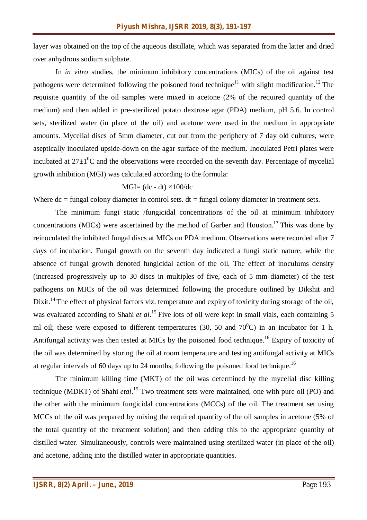layer was obtained on the top of the aqueous distillate, which was separated from the latter and dried over anhydrous sodium sulphate.

In *in vitro* studies, the minimum inhibitory concentrations (MICs) of the oil against test pathogens were determined following the poisoned food technique<sup>11</sup> with slight modification.<sup>12</sup> The requisite quantity of the oil samples were mixed in acetone (2% of the required quantity of the medium) and then added in pre-sterilized potato dextrose agar (PDA) medium, pH 5.6. In control sets, sterilized water (in place of the oil) and acetone were used in the medium in appropriate amounts. Mycelial discs of 5mm diameter, cut out from the periphery of 7 day old cultures, were aseptically inoculated upside-down on the agar surface of the medium. Inoculated Petri plates were incubated at  $27\pm10^{\circ}$ C and the observations were recorded on the seventh day. Percentage of mycelial growth inhibition (MGI) was calculated according to the formula:

$$
MGI = (dc - dt) \times 100/dc
$$

Where  $dc = fungal colour diameter in control sets. dt = fungal colour diameter in treatment sets.$ 

The minimum fungi static /fungicidal concentrations of the oil at minimum inhibitory concentrations (MICs) were ascertained by the method of Garber and Houston.<sup>13</sup> This was done by reinoculated the inhibited fungal discs at MICs on PDA medium. Observations were recorded after 7 days of incubation. Fungal growth on the seventh day indicated a fungi static nature, while the absence of fungal growth denoted fungicidal action of the oil. The effect of inoculums density (increased progressively up to 30 discs in multiples of five, each of 5 mm diameter) of the test pathogens on MICs of the oil was determined following the procedure outlined by Dikshit and Dixit.<sup>14</sup> The effect of physical factors viz. temperature and expiry of toxicity during storage of the oil, was evaluated according to Shahi *et al*.<sup>15</sup> Five lots of oil were kept in small vials, each containing 5 ml oil; these were exposed to different temperatures (30, 50 and  $70^{\circ}$ C) in an incubator for 1 h. Antifungal activity was then tested at MICs by the poisoned food technique.<sup>16</sup> Expiry of toxicity of the oil was determined by storing the oil at room temperature and testing antifungal activity at MICs at regular intervals of 60 days up to 24 months, following the poisoned food technique.<sup>16</sup>

The minimum killing time (MKT) of the oil was determined by the mycelial disc killing technique (MDKT) of Shahi *etal*. <sup>15</sup> Two treatment sets were maintained, one with pure oil (PO) and the other with the minimum fungicidal concentrations (MCCs) of the oil. The treatment set using MCCs of the oil was prepared by mixing the required quantity of the oil samples in acetone (5% of the total quantity of the treatment solution) and then adding this to the appropriate quantity of distilled water. Simultaneously, controls were maintained using sterilized water (in place of the oil) and acetone, adding into the distilled water in appropriate quantities.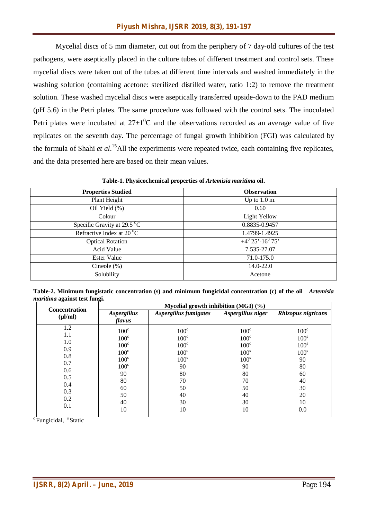Mycelial discs of 5 mm diameter, cut out from the periphery of 7 day-old cultures of the test pathogens, were aseptically placed in the culture tubes of different treatment and control sets. These mycelial discs were taken out of the tubes at different time intervals and washed immediately in the washing solution (containing acetone: sterilized distilled water, ratio 1:2) to remove the treatment solution. These washed mycelial discs were aseptically transferred upside-down to the PAD medium (pH 5.6) in the Petri plates. The same procedure was followed with the control sets. The inoculated Petri plates were incubated at  $27\pm10^{\circ}$ C and the observations recorded as an average value of five replicates on the seventh day. The percentage of fungal growth inhibition (FGI) was calculated by the formula of Shahi *et al*. <sup>15</sup>All the experiments were repeated twice, each containing five replicates, and the data presented here are based on their mean values.

**Table-1. Physicochemical properties of** *Artemisia maritima* **oil.**

| <b>Properties Studied</b>             | <b>Observation</b>               |
|---------------------------------------|----------------------------------|
| Plant Height                          | Up to $1.0$ m.                   |
| Oil Yield (%)                         | 0.60                             |
| Colour                                | <b>Light Yellow</b>              |
| Specific Gravity at 29.5 $^{\circ}$ C | 0.8835-0.9457                    |
| Refractive Index at $20^{\circ}$ C    | 1.4799-1.4925                    |
| <b>Optical Rotation</b>               | $+4^{0}$ 25'-16 <sup>0</sup> 75' |
| Acid Value                            | 7.535-27.07                      |
| Ester Value                           | 71.0-175.0                       |
| Cineole $(\%)$                        | $14.0 - 22.0$                    |
| Solubility                            | Acetone                          |
|                                       |                                  |

**Table-2. Minimum fungistatic concentration (s) and minimum fungicidal concentration (c) of the oil** *Artemisia maritima* **against test fungi.**

| <b>Concentration</b>                                                             | Mycelial growth inhibition (MGI) $(\%)$                                                                                                      |                                                                                                                                |                                                                                                                                   |                                                                                                                            |  |  |
|----------------------------------------------------------------------------------|----------------------------------------------------------------------------------------------------------------------------------------------|--------------------------------------------------------------------------------------------------------------------------------|-----------------------------------------------------------------------------------------------------------------------------------|----------------------------------------------------------------------------------------------------------------------------|--|--|
| $(\mu l/ml)$                                                                     | <b>Aspergillus</b><br>flavus                                                                                                                 | Aspergillus fumigates                                                                                                          | Aspergillus niger                                                                                                                 | Rhizopus nigricans                                                                                                         |  |  |
| 1.2<br>1.1<br>1.0<br>0.9<br>0.8<br>0.7<br>0.6<br>0.5<br>0.4<br>0.3<br>0.2<br>0.1 | $100^{\circ}$<br>$100^{\circ}$<br>$100^{\circ}$<br>$100^{\circ}$<br>100 <sup>s</sup><br>100 <sup>s</sup><br>90<br>80<br>60<br>50<br>40<br>10 | $100^{\circ}$<br>$100^{\circ}$<br>$100^{\circ}$<br>$100^{\circ}$<br>100 <sup>s</sup><br>90<br>80<br>70<br>50<br>40<br>30<br>10 | $100^{\circ}$<br>$100^{\circ}$<br>$100^{\circ}$<br>100 <sup>s</sup><br>100 <sup>s</sup><br>90<br>80<br>70<br>50<br>40<br>30<br>10 | $100^{\circ}$<br>100 <sup>s</sup><br>100 <sup>s</sup><br>100 <sup>s</sup><br>90<br>80<br>60<br>40<br>30<br>20<br>10<br>0.0 |  |  |

 $\degree$ Fungicidal,  $\degree$ Static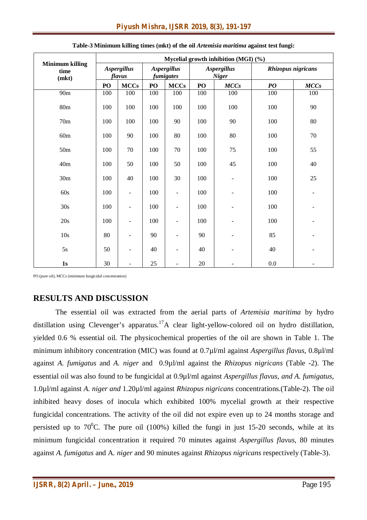|                                         | Mycelial growth inhibition (MGI) (%) |                          |                                 |                          |                                    |                          |                                |        |
|-----------------------------------------|--------------------------------------|--------------------------|---------------------------------|--------------------------|------------------------------------|--------------------------|--------------------------------|--------|
| <b>Minimum killing</b><br>time<br>(mkt) | <b>Aspergillus</b><br>flavus         |                          | <b>Aspergillus</b><br>fumigates |                          | <b>Aspergillus</b><br><b>Niger</b> |                          | Rhizopus nigricans             |        |
|                                         | PO                                   | <b>MCCs</b>              | PO                              | <b>MCCs</b>              | PO                                 | MCCs                     | $\boldsymbol{P}\boldsymbol{O}$ | MCCs   |
| 90m                                     | 100                                  | 100                      | 100                             | 100                      | 100                                | 100                      | 100                            | 100    |
| 80m                                     | 100                                  | 100                      | 100                             | 100                      | 100                                | 100                      | 100                            | 90     |
| 70m                                     | 100                                  | 100                      | 100                             | 90                       | 100                                | 90                       | 100                            | 80     |
| 60m                                     | 100                                  | 90                       | 100                             | 80                       | 100                                | 80                       | 100                            | $70\,$ |
| 50 <sub>m</sub>                         | 100                                  | 70                       | 100                             | 70                       | 100                                | 75                       | 100                            | 55     |
| 40m                                     | 100                                  | 50                       | 100                             | 50                       | 100                                | 45                       | 100                            | 40     |
| 30m                                     | 100                                  | 40                       | 100                             | 30                       | 100                                | $\overline{\phantom{a}}$ | 100                            | 25     |
| 60s                                     | 100                                  | $\blacksquare$           | 100                             | $\overline{\phantom{a}}$ | 100                                | ۰                        | 100                            |        |
| 30s                                     | 100                                  | $\blacksquare$           | 100                             | $\overline{\phantom{a}}$ | 100                                | $\blacksquare$           | 100                            |        |
| 20s                                     | 100                                  | $\overline{\phantom{a}}$ | 100                             | $\overline{\phantom{a}}$ | 100                                |                          | 100                            |        |
| 10s                                     | 80                                   | $\overline{\phantom{a}}$ | 90                              | $\overline{\phantom{a}}$ | 90                                 |                          | 85                             |        |
| 5s                                      | 50                                   | $\qquad \qquad -$        | 40                              | $\overline{\phantom{a}}$ | 40                                 | $\blacksquare$           | 40                             |        |
| 1s                                      | 30                                   | ÷,                       | 25                              | $\blacksquare$           | 20                                 |                          | 0.0                            |        |

| Table-3 Minimum killing times (mkt) of the oil Artemisia maritima against test fungi: |  |
|---------------------------------------------------------------------------------------|--|
|---------------------------------------------------------------------------------------|--|

PO (pure oil), MCCs (minimum fungicidal concentration)

## **RESULTS AND DISCUSSION**

The essential oil was extracted from the aerial parts of *Artemisia maritima* by hydro distillation using Clevenger's apparatus.<sup>17</sup>A clear light-yellow-colored oil on hydro distillation, yielded 0.6 % essential oil. The physicochemical properties of the oil are shown in Table 1. The minimum inhibitory concentration (MIC) was found at 0.7µl/ml against *Aspergillus flavus*, 0.8µl/ml against *A. fumigatus* and *A. niger* and 0.9µl/ml against the *Rhizopus nigricans* (Table -2). The essential oil was also found to be fungicidal at 0.9µl/ml against *Aspergillus flavus, and A. fumigatus,* 1.0µl/ml against *A. niger and* 1.20µl/ml against *Rhizopus nigricans* concentrations.(Table-2). The oil inhibited heavy doses of inocula which exhibited 100% mycelial growth at their respective fungicidal concentrations. The activity of the oil did not expire even up to 24 months storage and persisted up to  $70^{\circ}$ C. The pure oil (100%) killed the fungi in just 15-20 seconds, while at its minimum fungicidal concentration it required 70 minutes against *Aspergillus flavus*, 80 minutes against *A. fumigatus* and A*. niger* and 90 minutes against *Rhizopus nigricans* respectively (Table-3).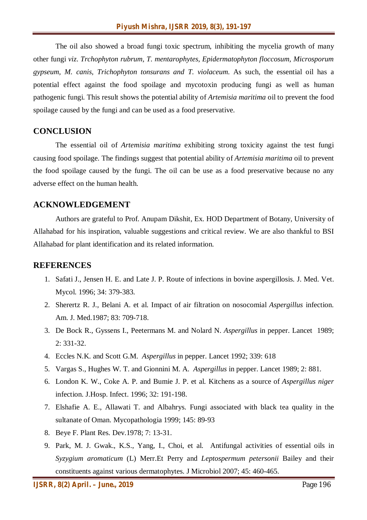The oil also showed a broad fungi toxic spectrum, inhibiting the mycelia growth of many other fungi *viz*. *Trchophyton rubrum, T. mentarophytes, Epidermatophyton floccosum, Microsporum gypseum, M. canis, Trichophyton tonsurans and T. violaceum*. As such, the essential oil has a potential effect against the food spoilage and mycotoxin producing fungi as well as human pathogenic fungi. This result shows the potential ability of *Artemisia maritima* oil to prevent the food spoilage caused by the fungi and can be used as a food preservative.

#### **CONCLUSION**

The essential oil of *Artemisia maritima* exhibiting strong toxicity against the test fungi causing food spoilage. The findings suggest that potential ability of *Artemisia maritima* oil to prevent the food spoilage caused by the fungi. The oil can be use as a food preservative because no any adverse effect on the human health.

#### **ACKNOWLEDGEMENT**

Authors are grateful to Prof. Anupam Dikshit, Ex. HOD Department of Botany, University of Allahabad for his inspiration, valuable suggestions and critical review. We are also thankful to BSI Allahabad for plant identification and its related information.

#### **REFERENCES**

- 1. Safati J., Jensen H. E. and Late J. P. Route of infections in bovine aspergillosis. J. Med. Vet. Mycol. 1996; 34: 379-383.
- 2. Sherertz R. J., Belani A. et al. Impact of air filtration on nosocomial *Aspergillus* infection. Am. J. Med.1987; 83: 709-718.
- 3. De Bock R., Gyssens I., Peetermans M. and Nolard N. *Aspergillus* in pepper. Lancet 1989; 2: 331-32.
- 4. Eccles N.K. and Scott G.M. *Aspergillus* in pepper. Lancet 1992; 339: 618
- 5. Vargas S., Hughes W. T. and Gionnini M. A. *Aspergillus* in pepper. Lancet 1989; 2: 881.
- 6. London K. W., Coke A. P. and Bumie J. P. et al. Kitchens as a source of *Aspergillus niger* infection. J.Hosp. Infect. 1996; 32: 191-198.
- 7. Elshafie A. E., Allawati T. and Albahrys. Fungi associated with black tea quality in the sultanate of Oman. Mycopathologia 1999; 145: 89-93
- 8. Beye F. Plant Res. Dev.1978; 7: 13-31.
- 9. Park, M. J. Gwak., K.S., Yang, I., Choi, et al. Antifungal activities of essential oils in *Syzygium aromaticum* (L) Merr.Et Perry and *Leptospermum petersonii* Bailey and their constituents against various dermatophytes. J Microbiol 2007; 45: 460-465.